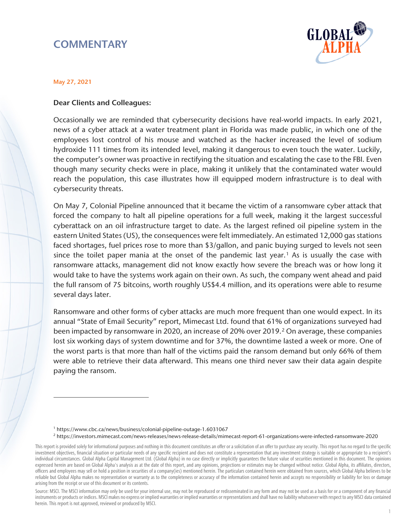# **COMMENTARY**



#### May 27, 2021

 $\overline{a}$ 

#### Dear Clients and Colleagues:

Occasionally we are reminded that cybersecurity decisions have real-world impacts. In early 2021, news of a cyber attack at a water treatment plant in Florida was made public, in which one of the employees lost control of his mouse and watched as the hacker increased the level of sodium hydroxide 111 times from its intended level, making it dangerous to even touch the water. Luckily, the computer's owner was proactive in rectifying the situation and escalating the case to the FBI. Even though many security checks were in place, making it unlikely that the contaminated water would reach the population, this case illustrates how ill equipped modern infrastructure is to deal with cybersecurity threats.

On May 7, Colonial Pipeline announced that it became the victim of a ransomware cyber attack that forced the company to halt all pipeline operations for a full week, making it the largest successful cyberattack on an oil infrastructure target to date. As the largest refined oil pipeline system in the eastern United States (US), the consequences were felt immediately. An estimated 12,000 gas stations faced shortages, fuel prices rose to more than \$3/gallon, and panic buying surged to levels not seen since the toilet paper mania at the onset of the pandemic last year.<sup>[1](#page-0-0)</sup> As is usually the case with ransomware attacks, management did not know exactly how severe the breach was or how long it would take to have the systems work again on their own. As such, the company went ahead and paid the full ransom of 75 bitcoins, worth roughly US\$4.4 million, and its operations were able to resume several days later.

Ransomware and other forms of cyber attacks are much more frequent than one would expect. In its annual "State of Email Security" report, Mimecast Ltd. found that 61% of organizations surveyed had been impacted by ransomware in [2](#page-0-1)020, an increase of 20% over 2019.<sup>2</sup> On average, these companies lost six working days of system downtime and for 37%, the downtime lasted a week or more. One of the worst parts is that more than half of the victims paid the ransom demand but only 66% of them were able to retrieve their data afterward. This means one third never saw their data again despite paying the ransom.

<sup>1</sup> https://www.cbc.ca/news/business/colonial-pipeline-outage-1.6031067

<sup>2</sup> https://investors.mimecast.com/news-releases/news-release-details/mimecast-report-61-organizations-were-infected-ransomware-2020

<span id="page-0-1"></span><span id="page-0-0"></span>This report is provided solely for informational purposes and nothing in this document constitutes an offer or a solicitation of an offer to purchase any security. This report has no regard to the specific investment objectives, financial situation or particular needs of any specific recipient and does not constitute a representation that any investment strategy is suitable or appropriate to a recipient's individual circumstances. Global Alpha Capital Management Ltd. (Global Alpha) in no case directly or implicitly guarantees the future value of securities mentioned in this document. The opinions expressed herein are based on Global Alpha's analysis as at the date of this report, and any opinions, projections or estimates may be changed without notice. Global Alpha, its affiliates, directors, officers and employees may sell or hold a position in securities of a company(ies) mentioned herein. The particulars contained herein were obtained from sources, which Global Alpha believes to be reliable but Global Alpha makes no representation or warranty as to the completeness or accuracy of the information contained herein and accepts no responsibility or liability for loss or damage arising from the receipt or use of this document or its contents.

Source: MSCI. The MSCI information may only be used for your internal use, may not be reproduced or redisseminated in any form and may not be used as a basis for or a component of any financial instruments or products or indices. MSCI makes no express or implied warranties or implied warranties or representations and shall have no liability whatsoever with respect to any MSCI data contained herein. This report is not approved, reviewed or produced by MSCI.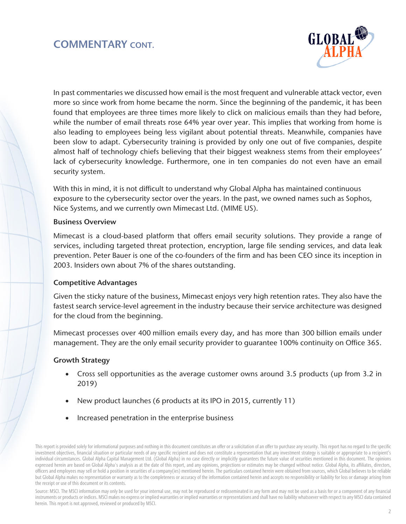## COMMENTARY CONT.



In past commentaries we discussed how email is the most frequent and vulnerable attack vector, even more so since work from home became the norm. Since the beginning of the pandemic, it has been found that employees are three times more likely to click on malicious emails than they had before, while the number of email threats rose 64% year over year. This implies that working from home is also leading to employees being less vigilant about potential threats. Meanwhile, companies have been slow to adapt. Cybersecurity training is provided by only one out of five companies, despite almost half of technology chiefs believing that their biggest weakness stems from their employees' lack of cybersecurity knowledge. Furthermore, one in ten companies do not even have an email security system.

With this in mind, it is not difficult to understand why Global Alpha has maintained continuous exposure to the cybersecurity sector over the years. In the past, we owned names such as Sophos, Nice Systems, and we currently own Mimecast Ltd. (MIME US).

#### Business Overview

Mimecast is a cloud-based platform that offers email security solutions. They provide a range of services, including targeted threat protection, encryption, large file sending services, and data leak prevention. Peter Bauer is one of the co-founders of the firm and has been CEO since its inception in 2003. Insiders own about 7% of the shares outstanding.

### Competitive Advantages

Given the sticky nature of the business, Mimecast enjoys very high retention rates. They also have the fastest search service-level agreement in the industry because their service architecture was designed for the cloud from the beginning.

Mimecast processes over 400 million emails every day, and has more than 300 billion emails under management. They are the only email security provider to guarantee 100% continuity on Office 365.

### Growth Strategy

- Cross sell opportunities as the average customer owns around 3.5 products (up from 3.2 in 2019)
- New product launches (6 products at its IPO in 2015, currently 11)
- Increased penetration in the enterprise business

Source: MSCI. The MSCI information may only be used for your internal use, may not be reproduced or redisseminated in any form and may not be used as a basis for or a component of any financial instruments or products or indices. MSCI makes no express or implied warranties or implied warranties or representations and shall have no liability whatsoever with respect to any MSCI data contained herein. This report is not approved, reviewed or produced by MSCI.

This report is provided solely for informational purposes and nothing in this document constitutes an offer or a solicitation of an offer to purchase any security. This report has no regard to the specific investment objectives, financial situation or particular needs of any specific recipient and does not constitute a representation that any investment strategy is suitable or appropriate to a recipient's individual circumstances. Global Alpha Capital Management Ltd. (Global Alpha) in no case directly or implicitly guarantees the future value of securities mentioned in this document. The opinions expressed herein are based on Global Alpha's analysis as at the date of this report, and any opinions, projections or estimates may be changed without notice. Global Alpha, its affiliates, directors, officers and employees may sell or hold a position in securities of a company(ies) mentioned herein. The particulars contained herein were obtained from sources, which Global believes to be reliable but Global Alpha makes no representation or warranty as to the completeness or accuracy of the information contained herein and accepts no responsibility or liability for loss or damage arising from the receipt or use of this document or its contents.